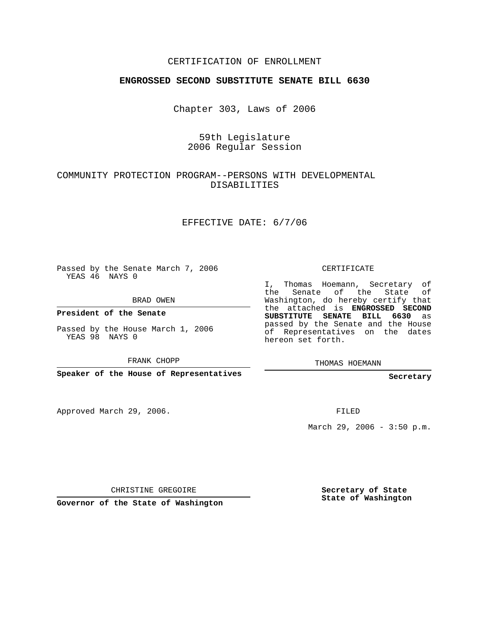### CERTIFICATION OF ENROLLMENT

#### **ENGROSSED SECOND SUBSTITUTE SENATE BILL 6630**

Chapter 303, Laws of 2006

## 59th Legislature 2006 Regular Session

### COMMUNITY PROTECTION PROGRAM--PERSONS WITH DEVELOPMENTAL DISABILITIES

#### EFFECTIVE DATE: 6/7/06

Passed by the Senate March 7, 2006 YEAS 46 NAYS 0

BRAD OWEN

**President of the Senate**

Passed by the House March 1, 2006 YEAS 98 NAYS 0

FRANK CHOPP

**Speaker of the House of Representatives**

Approved March 29, 2006.

CERTIFICATE

I, Thomas Hoemann, Secretary of the Senate of the State of Washington, do hereby certify that the attached is **ENGROSSED SECOND SUBSTITUTE SENATE BILL 6630** as passed by the Senate and the House of Representatives on the dates hereon set forth.

THOMAS HOEMANN

**Secretary**

FILED

March 29, 2006 - 3:50 p.m.

CHRISTINE GREGOIRE

**Governor of the State of Washington**

**Secretary of State State of Washington**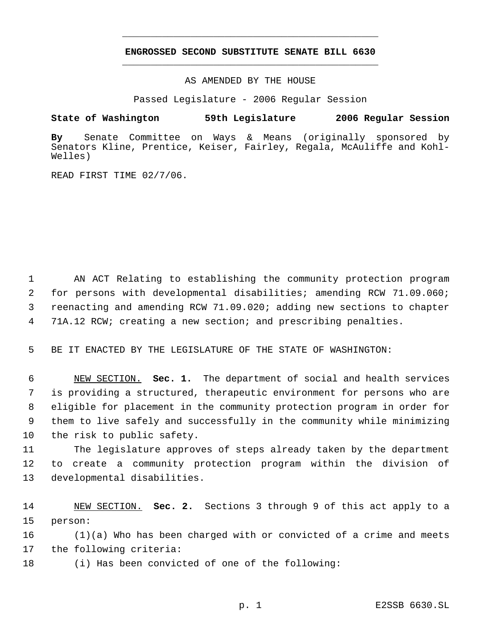# **ENGROSSED SECOND SUBSTITUTE SENATE BILL 6630** \_\_\_\_\_\_\_\_\_\_\_\_\_\_\_\_\_\_\_\_\_\_\_\_\_\_\_\_\_\_\_\_\_\_\_\_\_\_\_\_\_\_\_\_\_

\_\_\_\_\_\_\_\_\_\_\_\_\_\_\_\_\_\_\_\_\_\_\_\_\_\_\_\_\_\_\_\_\_\_\_\_\_\_\_\_\_\_\_\_\_

AS AMENDED BY THE HOUSE

Passed Legislature - 2006 Regular Session

#### **State of Washington 59th Legislature 2006 Regular Session**

**By** Senate Committee on Ways & Means (originally sponsored by Senators Kline, Prentice, Keiser, Fairley, Regala, McAuliffe and Kohl-Welles)

READ FIRST TIME 02/7/06.

 AN ACT Relating to establishing the community protection program for persons with developmental disabilities; amending RCW 71.09.060; reenacting and amending RCW 71.09.020; adding new sections to chapter 71A.12 RCW; creating a new section; and prescribing penalties.

BE IT ENACTED BY THE LEGISLATURE OF THE STATE OF WASHINGTON:

 NEW SECTION. **Sec. 1.** The department of social and health services is providing a structured, therapeutic environment for persons who are eligible for placement in the community protection program in order for them to live safely and successfully in the community while minimizing the risk to public safety.

 The legislature approves of steps already taken by the department to create a community protection program within the division of developmental disabilities.

 NEW SECTION. **Sec. 2.** Sections 3 through 9 of this act apply to a person:

 (1)(a) Who has been charged with or convicted of a crime and meets the following criteria:

(i) Has been convicted of one of the following: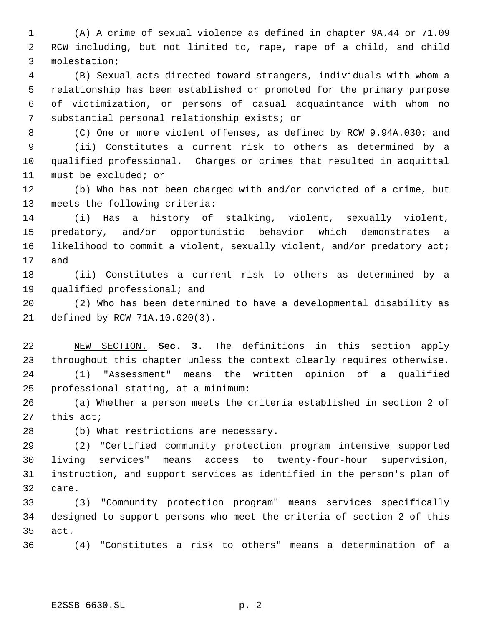(A) A crime of sexual violence as defined in chapter 9A.44 or 71.09 RCW including, but not limited to, rape, rape of a child, and child molestation;

 (B) Sexual acts directed toward strangers, individuals with whom a relationship has been established or promoted for the primary purpose of victimization, or persons of casual acquaintance with whom no substantial personal relationship exists; or

 (C) One or more violent offenses, as defined by RCW 9.94A.030; and (ii) Constitutes a current risk to others as determined by a qualified professional. Charges or crimes that resulted in acquittal must be excluded; or

 (b) Who has not been charged with and/or convicted of a crime, but meets the following criteria:

 (i) Has a history of stalking, violent, sexually violent, predatory, and/or opportunistic behavior which demonstrates a 16 likelihood to commit a violent, sexually violent, and/or predatory act; and

 (ii) Constitutes a current risk to others as determined by a qualified professional; and

 (2) Who has been determined to have a developmental disability as defined by RCW 71A.10.020(3).

 NEW SECTION. **Sec. 3.** The definitions in this section apply throughout this chapter unless the context clearly requires otherwise. (1) "Assessment" means the written opinion of a qualified professional stating, at a minimum:

 (a) Whether a person meets the criteria established in section 2 of this act;

(b) What restrictions are necessary.

 (2) "Certified community protection program intensive supported living services" means access to twenty-four-hour supervision, instruction, and support services as identified in the person's plan of care.

 (3) "Community protection program" means services specifically designed to support persons who meet the criteria of section 2 of this act.

(4) "Constitutes a risk to others" means a determination of a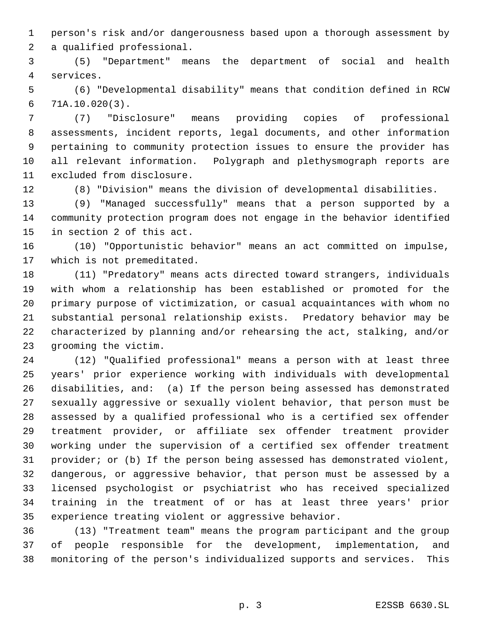person's risk and/or dangerousness based upon a thorough assessment by a qualified professional.

 (5) "Department" means the department of social and health services.

 (6) "Developmental disability" means that condition defined in RCW 71A.10.020(3).

 (7) "Disclosure" means providing copies of professional assessments, incident reports, legal documents, and other information pertaining to community protection issues to ensure the provider has all relevant information. Polygraph and plethysmograph reports are excluded from disclosure.

(8) "Division" means the division of developmental disabilities.

 (9) "Managed successfully" means that a person supported by a community protection program does not engage in the behavior identified in section 2 of this act.

 (10) "Opportunistic behavior" means an act committed on impulse, which is not premeditated.

 (11) "Predatory" means acts directed toward strangers, individuals with whom a relationship has been established or promoted for the primary purpose of victimization, or casual acquaintances with whom no substantial personal relationship exists. Predatory behavior may be characterized by planning and/or rehearsing the act, stalking, and/or grooming the victim.

 (12) "Qualified professional" means a person with at least three years' prior experience working with individuals with developmental disabilities, and: (a) If the person being assessed has demonstrated sexually aggressive or sexually violent behavior, that person must be assessed by a qualified professional who is a certified sex offender treatment provider, or affiliate sex offender treatment provider working under the supervision of a certified sex offender treatment provider; or (b) If the person being assessed has demonstrated violent, dangerous, or aggressive behavior, that person must be assessed by a licensed psychologist or psychiatrist who has received specialized training in the treatment of or has at least three years' prior experience treating violent or aggressive behavior.

 (13) "Treatment team" means the program participant and the group of people responsible for the development, implementation, and monitoring of the person's individualized supports and services. This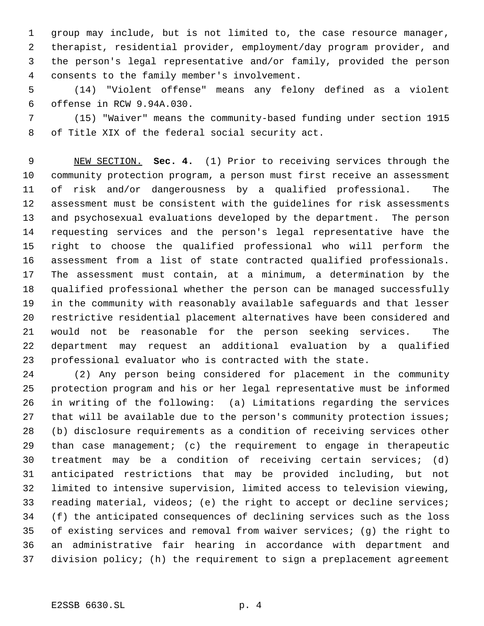group may include, but is not limited to, the case resource manager, therapist, residential provider, employment/day program provider, and the person's legal representative and/or family, provided the person consents to the family member's involvement.

 (14) "Violent offense" means any felony defined as a violent offense in RCW 9.94A.030.

 (15) "Waiver" means the community-based funding under section 1915 of Title XIX of the federal social security act.

 NEW SECTION. **Sec. 4.** (1) Prior to receiving services through the community protection program, a person must first receive an assessment of risk and/or dangerousness by a qualified professional. The assessment must be consistent with the guidelines for risk assessments and psychosexual evaluations developed by the department. The person requesting services and the person's legal representative have the right to choose the qualified professional who will perform the assessment from a list of state contracted qualified professionals. The assessment must contain, at a minimum, a determination by the qualified professional whether the person can be managed successfully in the community with reasonably available safeguards and that lesser restrictive residential placement alternatives have been considered and would not be reasonable for the person seeking services. The department may request an additional evaluation by a qualified professional evaluator who is contracted with the state.

 (2) Any person being considered for placement in the community protection program and his or her legal representative must be informed in writing of the following: (a) Limitations regarding the services 27 that will be available due to the person's community protection issues; (b) disclosure requirements as a condition of receiving services other than case management; (c) the requirement to engage in therapeutic treatment may be a condition of receiving certain services; (d) anticipated restrictions that may be provided including, but not limited to intensive supervision, limited access to television viewing, reading material, videos; (e) the right to accept or decline services; (f) the anticipated consequences of declining services such as the loss of existing services and removal from waiver services; (g) the right to an administrative fair hearing in accordance with department and division policy; (h) the requirement to sign a preplacement agreement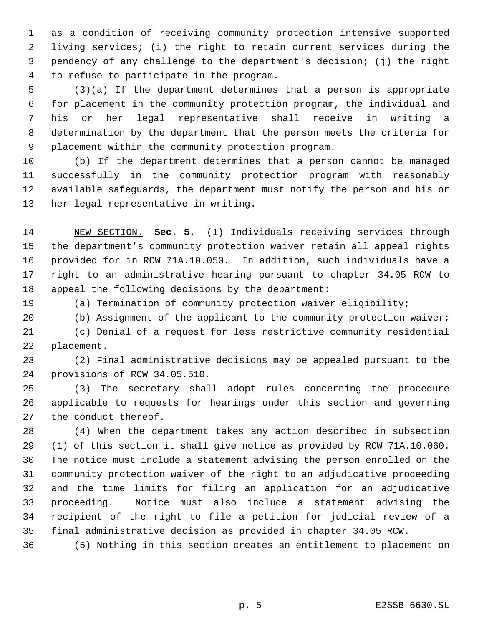as a condition of receiving community protection intensive supported living services; (i) the right to retain current services during the pendency of any challenge to the department's decision; (j) the right to refuse to participate in the program.

 (3)(a) If the department determines that a person is appropriate for placement in the community protection program, the individual and his or her legal representative shall receive in writing a determination by the department that the person meets the criteria for placement within the community protection program.

 (b) If the department determines that a person cannot be managed successfully in the community protection program with reasonably available safeguards, the department must notify the person and his or her legal representative in writing.

 NEW SECTION. **Sec. 5.** (1) Individuals receiving services through the department's community protection waiver retain all appeal rights provided for in RCW 71A.10.050. In addition, such individuals have a right to an administrative hearing pursuant to chapter 34.05 RCW to appeal the following decisions by the department:

(a) Termination of community protection waiver eligibility;

 (b) Assignment of the applicant to the community protection waiver; (c) Denial of a request for less restrictive community residential placement.

 (2) Final administrative decisions may be appealed pursuant to the provisions of RCW 34.05.510.

 (3) The secretary shall adopt rules concerning the procedure applicable to requests for hearings under this section and governing the conduct thereof.

 (4) When the department takes any action described in subsection (1) of this section it shall give notice as provided by RCW 71A.10.060. The notice must include a statement advising the person enrolled on the community protection waiver of the right to an adjudicative proceeding and the time limits for filing an application for an adjudicative proceeding. Notice must also include a statement advising the recipient of the right to file a petition for judicial review of a final administrative decision as provided in chapter 34.05 RCW.

(5) Nothing in this section creates an entitlement to placement on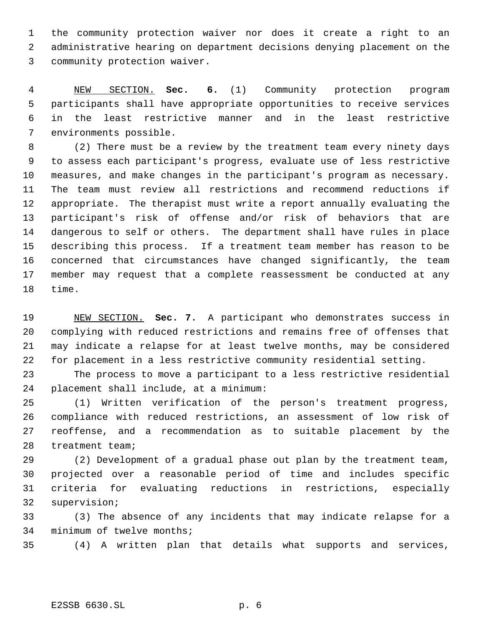the community protection waiver nor does it create a right to an administrative hearing on department decisions denying placement on the community protection waiver.

 NEW SECTION. **Sec. 6.** (1) Community protection program participants shall have appropriate opportunities to receive services in the least restrictive manner and in the least restrictive environments possible.

 (2) There must be a review by the treatment team every ninety days to assess each participant's progress, evaluate use of less restrictive measures, and make changes in the participant's program as necessary. The team must review all restrictions and recommend reductions if appropriate. The therapist must write a report annually evaluating the participant's risk of offense and/or risk of behaviors that are dangerous to self or others. The department shall have rules in place describing this process. If a treatment team member has reason to be concerned that circumstances have changed significantly, the team member may request that a complete reassessment be conducted at any time.

 NEW SECTION. **Sec. 7.** A participant who demonstrates success in complying with reduced restrictions and remains free of offenses that may indicate a relapse for at least twelve months, may be considered for placement in a less restrictive community residential setting.

 The process to move a participant to a less restrictive residential placement shall include, at a minimum:

 (1) Written verification of the person's treatment progress, compliance with reduced restrictions, an assessment of low risk of reoffense, and a recommendation as to suitable placement by the treatment team;

 (2) Development of a gradual phase out plan by the treatment team, projected over a reasonable period of time and includes specific criteria for evaluating reductions in restrictions, especially supervision;

 (3) The absence of any incidents that may indicate relapse for a minimum of twelve months;

(4) A written plan that details what supports and services,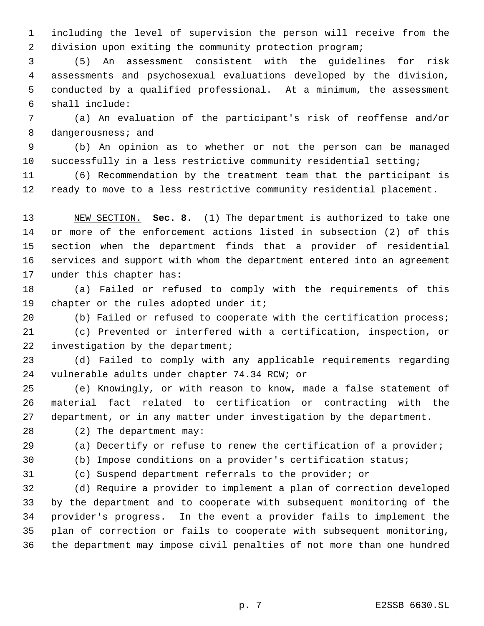including the level of supervision the person will receive from the division upon exiting the community protection program;

 (5) An assessment consistent with the guidelines for risk assessments and psychosexual evaluations developed by the division, conducted by a qualified professional. At a minimum, the assessment shall include:

 (a) An evaluation of the participant's risk of reoffense and/or dangerousness; and

 (b) An opinion as to whether or not the person can be managed successfully in a less restrictive community residential setting;

 (6) Recommendation by the treatment team that the participant is ready to move to a less restrictive community residential placement.

 NEW SECTION. **Sec. 8.** (1) The department is authorized to take one or more of the enforcement actions listed in subsection (2) of this section when the department finds that a provider of residential services and support with whom the department entered into an agreement under this chapter has:

 (a) Failed or refused to comply with the requirements of this 19 chapter or the rules adopted under it;

(b) Failed or refused to cooperate with the certification process;

 (c) Prevented or interfered with a certification, inspection, or 22 investigation by the department;

 (d) Failed to comply with any applicable requirements regarding vulnerable adults under chapter 74.34 RCW; or

 (e) Knowingly, or with reason to know, made a false statement of material fact related to certification or contracting with the department, or in any matter under investigation by the department.

(2) The department may:

(a) Decertify or refuse to renew the certification of a provider;

(b) Impose conditions on a provider's certification status;

(c) Suspend department referrals to the provider; or

 (d) Require a provider to implement a plan of correction developed by the department and to cooperate with subsequent monitoring of the provider's progress. In the event a provider fails to implement the plan of correction or fails to cooperate with subsequent monitoring, the department may impose civil penalties of not more than one hundred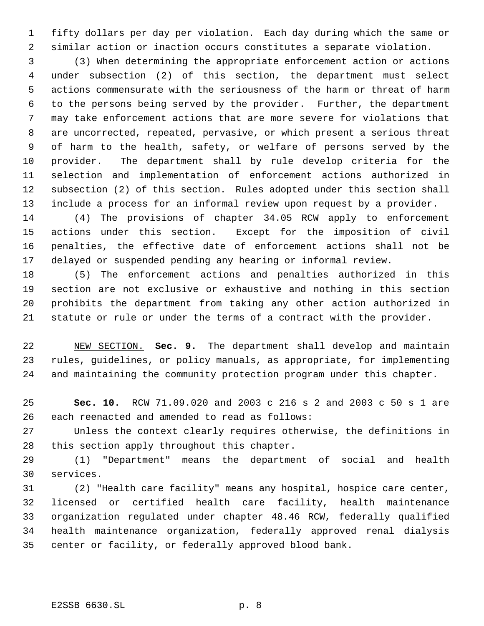fifty dollars per day per violation. Each day during which the same or similar action or inaction occurs constitutes a separate violation.

 (3) When determining the appropriate enforcement action or actions under subsection (2) of this section, the department must select actions commensurate with the seriousness of the harm or threat of harm to the persons being served by the provider. Further, the department may take enforcement actions that are more severe for violations that are uncorrected, repeated, pervasive, or which present a serious threat of harm to the health, safety, or welfare of persons served by the provider. The department shall by rule develop criteria for the selection and implementation of enforcement actions authorized in subsection (2) of this section. Rules adopted under this section shall include a process for an informal review upon request by a provider.

 (4) The provisions of chapter 34.05 RCW apply to enforcement actions under this section. Except for the imposition of civil penalties, the effective date of enforcement actions shall not be delayed or suspended pending any hearing or informal review.

 (5) The enforcement actions and penalties authorized in this section are not exclusive or exhaustive and nothing in this section prohibits the department from taking any other action authorized in statute or rule or under the terms of a contract with the provider.

 NEW SECTION. **Sec. 9.** The department shall develop and maintain rules, guidelines, or policy manuals, as appropriate, for implementing and maintaining the community protection program under this chapter.

 **Sec. 10.** RCW 71.09.020 and 2003 c 216 s 2 and 2003 c 50 s 1 are each reenacted and amended to read as follows:

 Unless the context clearly requires otherwise, the definitions in this section apply throughout this chapter.

 (1) "Department" means the department of social and health services.

 (2) "Health care facility" means any hospital, hospice care center, licensed or certified health care facility, health maintenance organization regulated under chapter 48.46 RCW, federally qualified health maintenance organization, federally approved renal dialysis center or facility, or federally approved blood bank.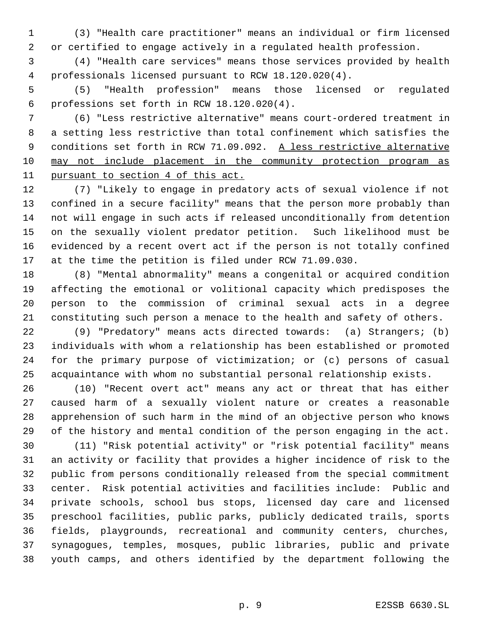(3) "Health care practitioner" means an individual or firm licensed or certified to engage actively in a regulated health profession.

 (4) "Health care services" means those services provided by health professionals licensed pursuant to RCW 18.120.020(4).

 (5) "Health profession" means those licensed or regulated professions set forth in RCW 18.120.020(4).

 (6) "Less restrictive alternative" means court-ordered treatment in a setting less restrictive than total confinement which satisfies the 9 conditions set forth in RCW 71.09.092. A less restrictive alternative may not include placement in the community protection program as pursuant to section 4 of this act.

 (7) "Likely to engage in predatory acts of sexual violence if not confined in a secure facility" means that the person more probably than not will engage in such acts if released unconditionally from detention on the sexually violent predator petition. Such likelihood must be evidenced by a recent overt act if the person is not totally confined at the time the petition is filed under RCW 71.09.030.

 (8) "Mental abnormality" means a congenital or acquired condition affecting the emotional or volitional capacity which predisposes the person to the commission of criminal sexual acts in a degree constituting such person a menace to the health and safety of others.

 (9) "Predatory" means acts directed towards: (a) Strangers; (b) individuals with whom a relationship has been established or promoted for the primary purpose of victimization; or (c) persons of casual acquaintance with whom no substantial personal relationship exists.

 (10) "Recent overt act" means any act or threat that has either caused harm of a sexually violent nature or creates a reasonable apprehension of such harm in the mind of an objective person who knows of the history and mental condition of the person engaging in the act.

 (11) "Risk potential activity" or "risk potential facility" means an activity or facility that provides a higher incidence of risk to the public from persons conditionally released from the special commitment center. Risk potential activities and facilities include: Public and private schools, school bus stops, licensed day care and licensed preschool facilities, public parks, publicly dedicated trails, sports fields, playgrounds, recreational and community centers, churches, synagogues, temples, mosques, public libraries, public and private youth camps, and others identified by the department following the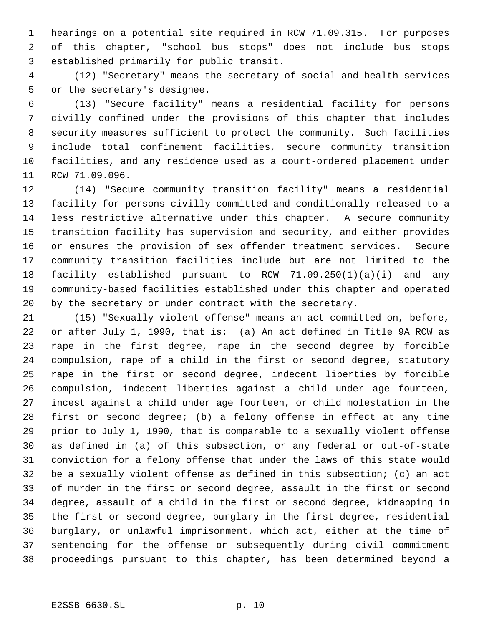hearings on a potential site required in RCW 71.09.315. For purposes of this chapter, "school bus stops" does not include bus stops established primarily for public transit.

 (12) "Secretary" means the secretary of social and health services or the secretary's designee.

 (13) "Secure facility" means a residential facility for persons civilly confined under the provisions of this chapter that includes security measures sufficient to protect the community. Such facilities include total confinement facilities, secure community transition facilities, and any residence used as a court-ordered placement under RCW 71.09.096.

 (14) "Secure community transition facility" means a residential facility for persons civilly committed and conditionally released to a less restrictive alternative under this chapter. A secure community transition facility has supervision and security, and either provides or ensures the provision of sex offender treatment services. Secure community transition facilities include but are not limited to the facility established pursuant to RCW 71.09.250(1)(a)(i) and any community-based facilities established under this chapter and operated by the secretary or under contract with the secretary.

 (15) "Sexually violent offense" means an act committed on, before, or after July 1, 1990, that is: (a) An act defined in Title 9A RCW as rape in the first degree, rape in the second degree by forcible compulsion, rape of a child in the first or second degree, statutory rape in the first or second degree, indecent liberties by forcible compulsion, indecent liberties against a child under age fourteen, incest against a child under age fourteen, or child molestation in the first or second degree; (b) a felony offense in effect at any time prior to July 1, 1990, that is comparable to a sexually violent offense as defined in (a) of this subsection, or any federal or out-of-state conviction for a felony offense that under the laws of this state would be a sexually violent offense as defined in this subsection; (c) an act of murder in the first or second degree, assault in the first or second degree, assault of a child in the first or second degree, kidnapping in the first or second degree, burglary in the first degree, residential burglary, or unlawful imprisonment, which act, either at the time of sentencing for the offense or subsequently during civil commitment proceedings pursuant to this chapter, has been determined beyond a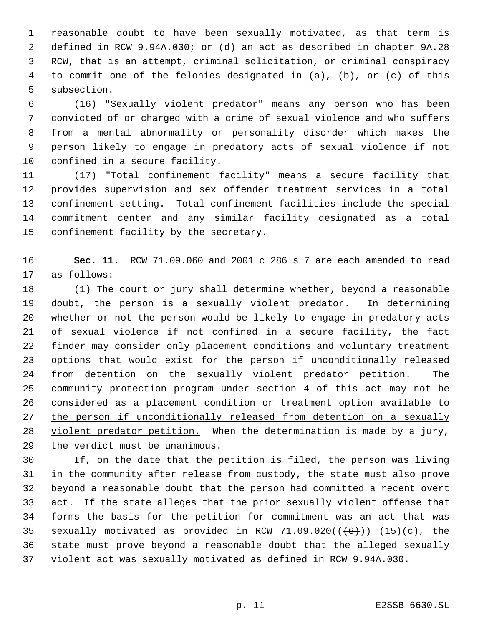reasonable doubt to have been sexually motivated, as that term is defined in RCW 9.94A.030; or (d) an act as described in chapter 9A.28 RCW, that is an attempt, criminal solicitation, or criminal conspiracy to commit one of the felonies designated in (a), (b), or (c) of this subsection.

 (16) "Sexually violent predator" means any person who has been convicted of or charged with a crime of sexual violence and who suffers from a mental abnormality or personality disorder which makes the person likely to engage in predatory acts of sexual violence if not confined in a secure facility.

 (17) "Total confinement facility" means a secure facility that provides supervision and sex offender treatment services in a total confinement setting. Total confinement facilities include the special commitment center and any similar facility designated as a total confinement facility by the secretary.

 **Sec. 11.** RCW 71.09.060 and 2001 c 286 s 7 are each amended to read as follows:

 (1) The court or jury shall determine whether, beyond a reasonable doubt, the person is a sexually violent predator. In determining whether or not the person would be likely to engage in predatory acts of sexual violence if not confined in a secure facility, the fact finder may consider only placement conditions and voluntary treatment options that would exist for the person if unconditionally released 24 from detention on the sexually violent predator petition. The community protection program under section 4 of this act may not be considered as a placement condition or treatment option available to 27 the person if unconditionally released from detention on a sexually 28 violent predator petition. When the determination is made by a jury, the verdict must be unanimous.

 If, on the date that the petition is filed, the person was living in the community after release from custody, the state must also prove beyond a reasonable doubt that the person had committed a recent overt act. If the state alleges that the prior sexually violent offense that forms the basis for the petition for commitment was an act that was 35 sexually motivated as provided in RCW 71.09.020( $(\frac{+6}{})$ )  $(15)(c)$ , the state must prove beyond a reasonable doubt that the alleged sexually violent act was sexually motivated as defined in RCW 9.94A.030.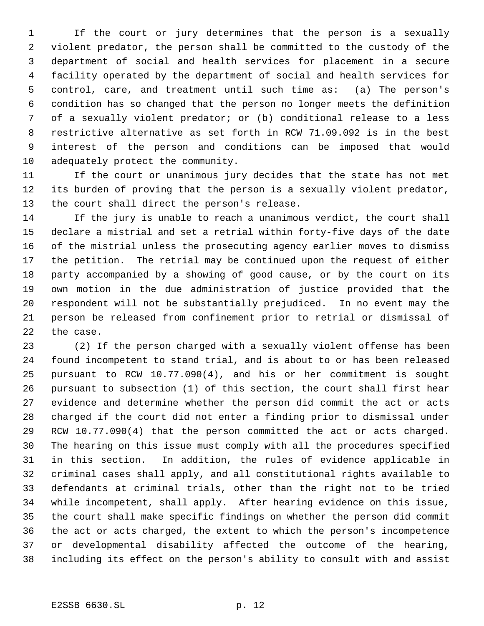If the court or jury determines that the person is a sexually violent predator, the person shall be committed to the custody of the department of social and health services for placement in a secure facility operated by the department of social and health services for control, care, and treatment until such time as: (a) The person's condition has so changed that the person no longer meets the definition of a sexually violent predator; or (b) conditional release to a less restrictive alternative as set forth in RCW 71.09.092 is in the best interest of the person and conditions can be imposed that would adequately protect the community.

 If the court or unanimous jury decides that the state has not met its burden of proving that the person is a sexually violent predator, the court shall direct the person's release.

 If the jury is unable to reach a unanimous verdict, the court shall declare a mistrial and set a retrial within forty-five days of the date of the mistrial unless the prosecuting agency earlier moves to dismiss the petition. The retrial may be continued upon the request of either party accompanied by a showing of good cause, or by the court on its own motion in the due administration of justice provided that the respondent will not be substantially prejudiced. In no event may the person be released from confinement prior to retrial or dismissal of the case.

 (2) If the person charged with a sexually violent offense has been found incompetent to stand trial, and is about to or has been released pursuant to RCW 10.77.090(4), and his or her commitment is sought pursuant to subsection (1) of this section, the court shall first hear evidence and determine whether the person did commit the act or acts charged if the court did not enter a finding prior to dismissal under RCW 10.77.090(4) that the person committed the act or acts charged. The hearing on this issue must comply with all the procedures specified in this section. In addition, the rules of evidence applicable in criminal cases shall apply, and all constitutional rights available to defendants at criminal trials, other than the right not to be tried while incompetent, shall apply. After hearing evidence on this issue, the court shall make specific findings on whether the person did commit the act or acts charged, the extent to which the person's incompetence or developmental disability affected the outcome of the hearing, including its effect on the person's ability to consult with and assist